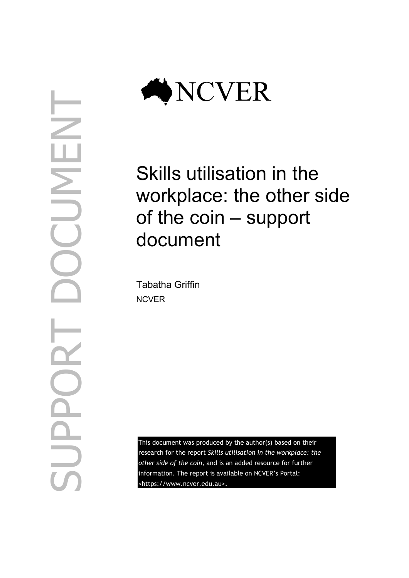

## Skills utilisation in the workplace: the other side of the coin – support document

Tabatha Griffin **NCVER** 

This document was produced by the author(s) based on their research for the report *Skills utilisation in the workplace: the other side of the coin,* and is an added resource for further information. The report is available on NCVER's Portal: [<https://www.ncver.edu.au>](https://www.ncver.edu.au/).

SUPPORT DOCUMENT NCJN Oddli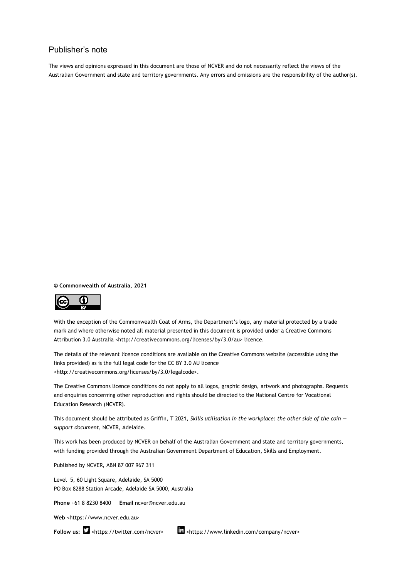## Publisher's note

The views and opinions expressed in this document are those of NCVER and do not necessarily reflect the views of the Australian Government and state and territory governments. Any errors and omissions are the responsibility of the author(s).

**© Commonwealth of Australia, 2021**



With the exception of the Commonwealth Coat of Arms, the Department's logo, any material protected by a trade mark and where otherwise noted all material presented in this document is provided under a Creative Commons Attribution 3.0 Australia <http://creativecommons.org/licenses/by/3.0/au> licence.

The details of the relevant licence conditions are available on the Creative Commons website (accessible using the links provided) as is the full legal code for the CC BY 3.0 AU licence <http://creativecommons.org/licenses/by/3.0/legalcode>.

The Creative Commons licence conditions do not apply to all logos, graphic design, artwork and photographs. Requests and enquiries concerning other reproduction and rights should be directed to the National Centre for Vocational Education Research (NCVER).

This document should be attributed as Griffin, T 2021*, Skills utilisation in the workplace: the other side of the coin support document,* NCVER, Adelaide.

This work has been produced by NCVER on behalf of the Australian Government and state and territory governments, with funding provided through the Australian Government Department of Education, Skills and Employment.

Published by NCVER, ABN 87 007 967 311

Level 5, 60 Light Square, Adelaide, SA 5000 PO Box 8288 Station Arcade, Adelaide SA 5000, Australia

**Phone** +61 8 8230 8400 **Email** [ncver@ncver.edu.au](mailto:ncver@ncver.edu.au) 

**Web** <https://www.ncver.edu.au>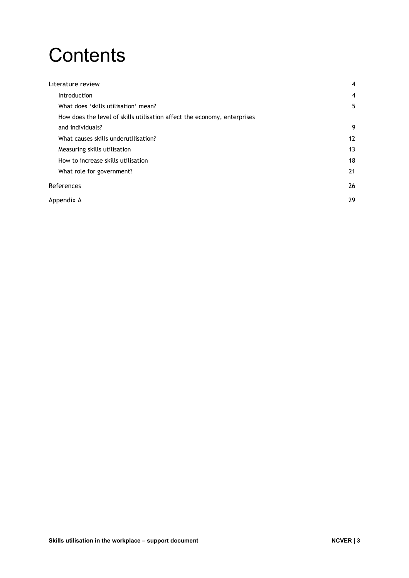## **Contents**

| Literature review                                                        |                   |
|--------------------------------------------------------------------------|-------------------|
| Introduction                                                             | 4                 |
| What does 'skills utilisation' mean?                                     | 5                 |
| How does the level of skills utilisation affect the economy, enterprises |                   |
| and individuals?                                                         | 9                 |
| What causes skills underutilisation?                                     | $12 \overline{ }$ |
| Measuring skills utilisation                                             | 13                |
| How to increase skills utilisation                                       | 18                |
| What role for government?                                                | 21                |
| References                                                               | 26                |
| Appendix A                                                               |                   |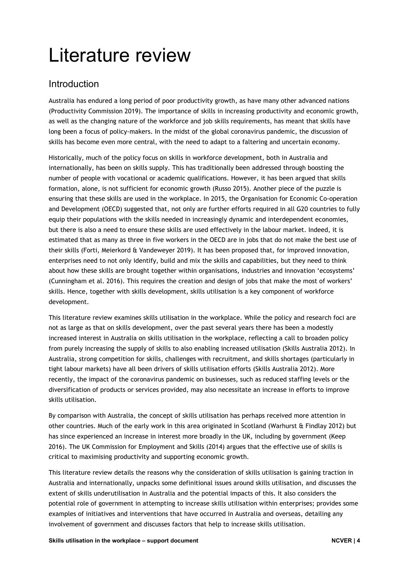# Literature review

## Introduction

Australia has endured a long period of poor productivity growth, as have many other advanced nations (Productivity Commission 2019). The importance of skills in increasing productivity and economic growth, as well as the changing nature of the workforce and job skills requirements, has meant that skills have long been a focus of policy-makers. In the midst of the global coronavirus pandemic, the discussion of skills has become even more central, with the need to adapt to a faltering and uncertain economy.

Historically, much of the policy focus on skills in workforce development, both in Australia and internationally, has been on skills supply. This has traditionally been addressed through boosting the number of people with vocational or academic qualifications. However, it has been argued that skills formation, alone, is not sufficient for economic growth (Russo 2015). Another piece of the puzzle is ensuring that these skills are used in the workplace. In 2015, the Organisation for Economic Co-operation and Development (OECD) suggested that, not only are further efforts required in all G20 countries to fully equip their populations with the skills needed in increasingly dynamic and interdependent economies, but there is also a need to ensure these skills are used effectively in the labour market. Indeed, it is estimated that as many as three in five workers in the OECD are in jobs that do not make the best use of their skills (Forti, Meierkord & Vandeweyer 2019). It has been proposed that, for improved innovation, enterprises need to not only identify, build and mix the skills and capabilities, but they need to think about how these skills are brought together within organisations, industries and innovation 'ecosystems' (Cunningham et al. 2016). This requires the creation and design of jobs that make the most of workers' skills. Hence, together with skills development, skills utilisation is a key component of workforce development.

This literature review examines skills utilisation in the workplace. While the policy and research foci are not as large as that on skills development, over the past several years there has been a modestly increased interest in Australia on skills utilisation in the workplace, reflecting a call to broaden policy from purely increasing the supply of skills to also enabling increased utilisation (Skills Australia 2012). In Australia, strong competition for skills, challenges with recruitment, and skills shortages (particularly in tight labour markets) have all been drivers of skills utilisation efforts (Skills Australia 2012). More recently, the impact of the coronavirus pandemic on businesses, such as reduced staffing levels or the diversification of products or services provided, may also necessitate an increase in efforts to improve skills utilisation.

By comparison with Australia, the concept of skills utilisation has perhaps received more attention in other countries. Much of the early work in this area originated in Scotland (Warhurst & Findlay 2012) but has since experienced an increase in interest more broadly in the UK, including by government (Keep 2016). The UK Commission for Employment and Skills (2014) argues that the effective use of skills is critical to maximising productivity and supporting economic growth.

This literature review details the reasons why the consideration of skills utilisation is gaining traction in Australia and internationally, unpacks some definitional issues around skills utilisation, and discusses the extent of skills underutilisation in Australia and the potential impacts of this. It also considers the potential role of government in attempting to increase skills utilisation within enterprises; provides some examples of initiatives and interventions that have occurred in Australia and overseas, detailing any involvement of government and discusses factors that help to increase skills utilisation.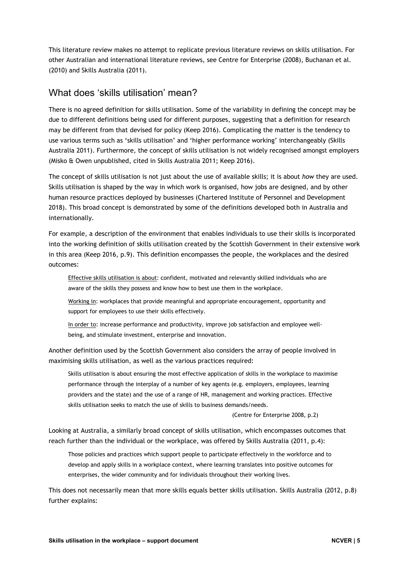This literature review makes no attempt to replicate previous literature reviews on skills utilisation. For other Australian and international literature reviews, see Centre for Enterprise (2008), Buchanan et al. (2010) and Skills Australia (2011).

## What does 'skills utilisation' mean?

There is no agreed definition for skills utilisation. Some of the variability in defining the concept may be due to different definitions being used for different purposes, suggesting that a definition for research may be different from that devised for policy (Keep 2016). Complicating the matter is the tendency to use various terms such as 'skills utilisation' and 'higher performance working' interchangeably (Skills Australia 2011). Furthermore, the concept of skills utilisation is not widely recognised amongst employers (Misko & Owen unpublished, cited in Skills Australia 2011; Keep 2016).

The concept of skills utilisation is not just about the use of available skills; it is about *how* they are used. Skills utilisation is shaped by the way in which work is organised, how jobs are designed, and by other human resource practices deployed by businesses (Chartered Institute of Personnel and Development 2018). This broad concept is demonstrated by some of the definitions developed both in Australia and internationally.

For example, a description of the environment that enables individuals to use their skills is incorporated into the working definition of skills utilisation created by the Scottish Government in their extensive work in this area (Keep 2016, p.9). This definition encompasses the people, the workplaces and the desired outcomes:

Effective skills utilisation is about: confident, motivated and relevantly skilled individuals who are aware of the skills they possess and know how to best use them in the workplace.

Working in: workplaces that provide meaningful and appropriate encouragement, opportunity and support for employees to use their skills effectively.

In order to: increase performance and productivity, improve job satisfaction and employee wellbeing, and stimulate investment, enterprise and innovation.

Another definition used by the Scottish Government also considers the array of people involved in maximising skills utilisation, as well as the various practices required:

Skills utilisation is about ensuring the most effective application of skills in the workplace to maximise performance through the interplay of a number of key agents (e.g. employers, employees, learning providers and the state) and the use of a range of HR, management and working practices. Effective skills utilisation seeks to match the use of skills to business demands/needs.

#### (Centre for Enterprise 2008, p.2)

Looking at Australia, a similarly broad concept of skills utilisation, which encompasses outcomes that reach further than the individual or the workplace, was offered by Skills Australia (2011, p.4):

Those policies and practices which support people to participate effectively in the workforce and to develop and apply skills in a workplace context, where learning translates into positive outcomes for enterprises, the wider community and for individuals throughout their working lives.

This does not necessarily mean that more skills equals better skills utilisation. Skills Australia (2012, p.8) further explains: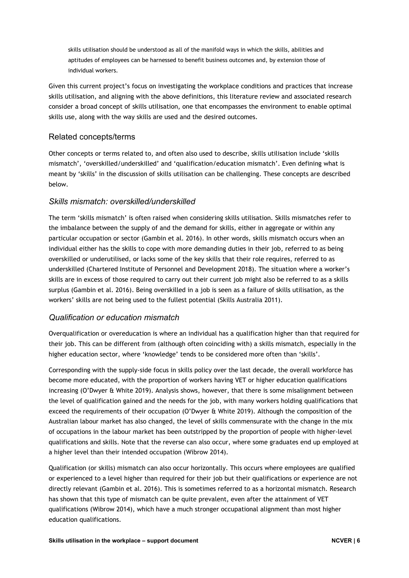skills utilisation should be understood as all of the manifold ways in which the skills, abilities and aptitudes of employees can be harnessed to benefit business outcomes and, by extension those of individual workers.

Given this current project's focus on investigating the workplace conditions and practices that increase skills utilisation, and aligning with the above definitions, this literature review and associated research consider a broad concept of skills utilisation, one that encompasses the environment to enable optimal skills use, along with the way skills are used and the desired outcomes.

### Related concepts/terms

Other concepts or terms related to, and often also used to describe, skills utilisation include 'skills mismatch', 'overskilled/underskilled' and 'qualification/education mismatch'. Even defining what is meant by 'skills' in the discussion of skills utilisation can be challenging. These concepts are described below.

## *Skills mismatch: overskilled/underskilled*

The term 'skills mismatch' is often raised when considering skills utilisation. Skills mismatches refer to the imbalance between the supply of and the demand for skills, either in aggregate or within any particular occupation or sector (Gambin et al. 2016). In other words, skills mismatch occurs when an individual either has the skills to cope with more demanding duties in their job, referred to as being overskilled or underutilised, or lacks some of the key skills that their role requires, referred to as underskilled (Chartered Institute of Personnel and Development 2018). The situation where a worker's skills are in excess of those required to carry out their current job might also be referred to as a skills surplus (Gambin et al. 2016). Being overskilled in a job is seen as a failure of skills utilisation, as the workers' skills are not being used to the fullest potential (Skills Australia 2011).

### *Qualification or education mismatch*

Overqualification or overeducation is where an individual has a qualification higher than that required for their job. This can be different from (although often coinciding with) a skills mismatch, especially in the higher education sector, where 'knowledge' tends to be considered more often than 'skills'.

Corresponding with the supply-side focus in skills policy over the last decade, the overall workforce has become more educated, with the proportion of workers having VET or higher education qualifications increasing (O'Dwyer & White 2019). Analysis shows, however, that there is some misalignment between the level of qualification gained and the needs for the job, with many workers holding qualifications that exceed the requirements of their occupation (O'Dwyer & White 2019). Although the composition of the Australian labour market has also changed, the level of skills commensurate with the change in the mix of occupations in the labour market has been outstripped by the proportion of people with higher-level qualifications and skills. Note that the reverse can also occur, where some graduates end up employed at a higher level than their intended occupation (Wibrow 2014).

Qualification (or skills) mismatch can also occur horizontally. This occurs where employees are qualified or experienced to a level higher than required for their job but their qualifications or experience are not directly relevant (Gambin et al. 2016). This is sometimes referred to as a horizontal mismatch. Research has shown that this type of mismatch can be quite prevalent, even after the attainment of VET qualifications (Wibrow 2014), which have a much stronger occupational alignment than most higher education qualifications.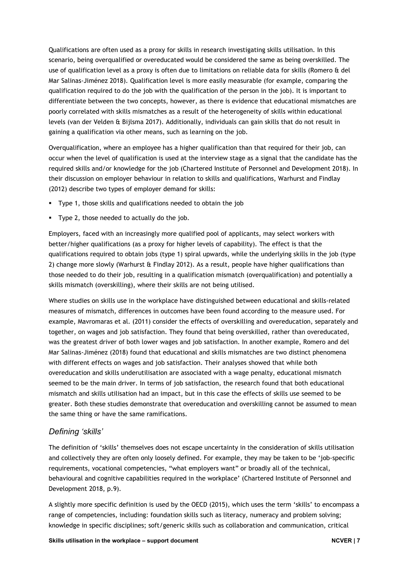Qualifications are often used as a proxy for skills in research investigating skills utilisation. In this scenario, being overqualified or overeducated would be considered the same as being overskilled. The use of qualification level as a proxy is often due to limitations on reliable data for skills (Romero & del Mar Salinas-Jiménez 2018). Qualification level is more easily measurable (for example, comparing the qualification required to do the job with the qualification of the person in the job). It is important to differentiate between the two concepts, however, as there is evidence that educational mismatches are poorly correlated with skills mismatches as a result of the heterogeneity of skills within educational levels (van der Velden & Bijlsma 2017). Additionally, individuals can gain skills that do not result in gaining a qualification via other means, such as learning on the job.

Overqualification, where an employee has a higher qualification than that required for their job, can occur when the level of qualification is used at the interview stage as a signal that the candidate has the required skills and/or knowledge for the job (Chartered Institute of Personnel and Development 2018). In their discussion on employer behaviour in relation to skills and qualifications, Warhurst and Findlay (2012) describe two types of employer demand for skills:

- Type 1, those skills and qualifications needed to obtain the job
- Type 2, those needed to actually do the job.

Employers, faced with an increasingly more qualified pool of applicants, may select workers with better/higher qualifications (as a proxy for higher levels of capability). The effect is that the qualifications required to obtain jobs (type 1) spiral upwards, while the underlying skills in the job (type 2) change more slowly (Warhurst & Findlay 2012). As a result, people have higher qualifications than those needed to do their job, resulting in a qualification mismatch (overqualification) and potentially a skills mismatch (overskilling), where their skills are not being utilised.

Where studies on skills use in the workplace have distinguished between educational and skills-related measures of mismatch, differences in outcomes have been found according to the measure used. For example, Mavromaras et al. (2011) consider the effects of overskilling and overeducation, separately and together, on wages and job satisfaction. They found that being overskilled, rather than overeducated, was the greatest driver of both lower wages and job satisfaction. In another example, Romero and del Mar Salinas-Jiménez (2018) found that educational and skills mismatches are two distinct phenomena with different effects on wages and job satisfaction. Their analyses showed that while both overeducation and skills underutilisation are associated with a wage penalty, educational mismatch seemed to be the main driver. In terms of job satisfaction, the research found that both educational mismatch and skills utilisation had an impact, but in this case the effects of skills use seemed to be greater. Both these studies demonstrate that overeducation and overskilling cannot be assumed to mean the same thing or have the same ramifications.

## *Defining 'skills'*

The definition of 'skills' themselves does not escape uncertainty in the consideration of skills utilisation and collectively they are often only loosely defined. For example, they may be taken to be 'job-specific requirements, vocational competencies, "what employers want" or broadly all of the technical, behavioural and cognitive capabilities required in the workplace' (Chartered Institute of Personnel and Development 2018, p.9).

A slightly more specific definition is used by the OECD (2015), which uses the term 'skills' to encompass a range of competencies, including: foundation skills such as literacy, numeracy and problem solving; knowledge in specific disciplines; soft/generic skills such as collaboration and communication, critical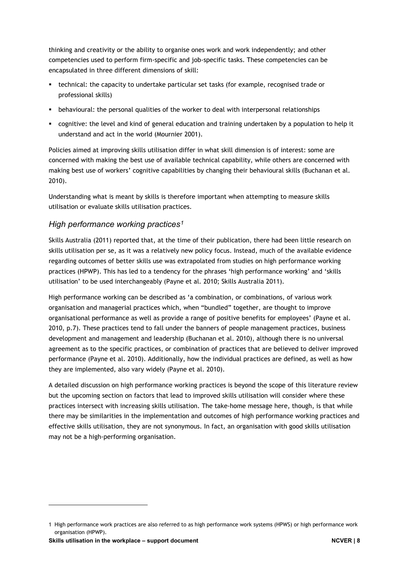thinking and creativity or the ability to organise ones work and work independently; and other competencies used to perform firm-specific and job-specific tasks. These competencies can be encapsulated in three different dimensions of skill:

- technical: the capacity to undertake particular set tasks (for example, recognised trade or professional skills)
- behavioural: the personal qualities of the worker to deal with interpersonal relationships
- cognitive: the level and kind of general education and training undertaken by a population to help it understand and act in the world (Mournier 2001).

Policies aimed at improving skills utilisation differ in what skill dimension is of interest: some are concerned with making the best use of available technical capability, while others are concerned with making best use of workers' cognitive capabilities by changing their behavioural skills (Buchanan et al. 2010).

Understanding what is meant by skills is therefore important when attempting to measure skills utilisation or evaluate skills utilisation practices.

## *High performance working practices[1](#page-7-0)*

Skills Australia (2011) reported that, at the time of their publication, there had been little research on skills utilisation per se, as it was a relatively new policy focus. Instead, much of the available evidence regarding outcomes of better skills use was extrapolated from studies on high performance working practices (HPWP). This has led to a tendency for the phrases 'high performance working' and 'skills utilisation' to be used interchangeably (Payne et al. 2010; Skills Australia 2011).

High performance working can be described as 'a combination, or combinations, of various work organisation and managerial practices which, when "bundled" together, are thought to improve organisational performance as well as provide a range of positive benefits for employees' (Payne et al. 2010, p.7). These practices tend to fall under the banners of people management practices, business development and management and leadership (Buchanan et al. 2010), although there is no universal agreement as to the specific practices, or combination of practices that are believed to deliver improved performance (Payne et al. 2010). Additionally, how the individual practices are defined, as well as how they are implemented, also vary widely (Payne et al. 2010).

A detailed discussion on high performance working practices is beyond the scope of this literature review but the upcoming section on factors that lead to improved skills utilisation will consider where these practices intersect with increasing skills utilisation. The take-home message here, though, is that while there may be similarities in the implementation and outcomes of high performance working practices and effective skills utilisation, they are not synonymous. In fact, an organisation with good skills utilisation may not be a high-performing organisation.

<span id="page-7-0"></span><sup>1</sup> High performance work practices are also referred to as high performance work systems (HPWS) or high performance work organisation (HPWP).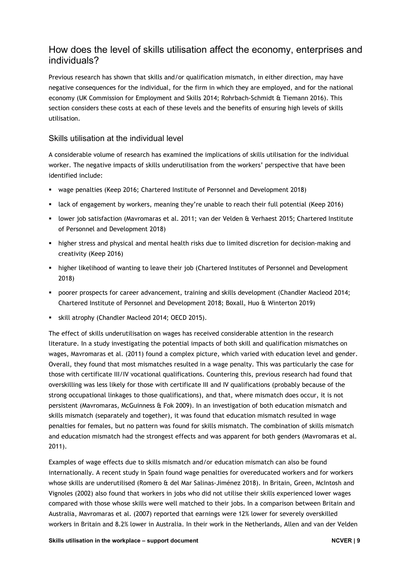## How does the level of skills utilisation affect the economy, enterprises and individuals?

Previous research has shown that skills and/or qualification mismatch, in either direction, may have negative consequences for the individual, for the firm in which they are employed, and for the national economy (UK Commission for Employment and Skills 2014; Rohrbach-Schmidt & Tiemann 2016). This section considers these costs at each of these levels and the benefits of ensuring high levels of skills utilisation.

#### Skills utilisation at the individual level

A considerable volume of research has examined the implications of skills utilisation for the individual worker. The negative impacts of skills underutilisation from the workers' perspective that have been identified include:

- wage penalties (Keep 2016; Chartered Institute of Personnel and Development 2018)
- lack of engagement by workers, meaning they're unable to reach their full potential (Keep 2016)
- lower job satisfaction (Mavromaras et al. 2011; van der Velden & Verhaest 2015; Chartered Institute of Personnel and Development 2018)
- higher stress and physical and mental health risks due to limited discretion for decision-making and creativity (Keep 2016)
- higher likelihood of wanting to leave their job (Chartered Institutes of Personnel and Development 2018)
- **PEDOOTER 19 Increase 12 and 2014;** poorer advancement, training and skills development (Chandler Macleod 2014; Chartered Institute of Personnel and Development 2018; Boxall, Huo & Winterton 2019)
- skill atrophy (Chandler Macleod 2014; OECD 2015).

The effect of skills underutilisation on wages has received considerable attention in the research literature. In a study investigating the potential impacts of both skill and qualification mismatches on wages, Mavromaras et al. (2011) found a complex picture, which varied with education level and gender. Overall, they found that most mismatches resulted in a wage penalty. This was particularly the case for those with certificate III/IV vocational qualifications. Countering this, previous research had found that overskilling was less likely for those with certificate III and IV qualifications (probably because of the strong occupational linkages to those qualifications), and that, where mismatch does occur, it is not persistent (Mavromaras, McGuinness & Fok 2009). In an investigation of both education mismatch and skills mismatch (separately and together), it was found that education mismatch resulted in wage penalties for females, but no pattern was found for skills mismatch. The combination of skills mismatch and education mismatch had the strongest effects and was apparent for both genders (Mavromaras et al. 2011).

Examples of wage effects due to skills mismatch and/or education mismatch can also be found internationally. A recent study in Spain found wage penalties for overeducated workers and for workers whose skills are underutilised (Romero & del Mar Salinas-Jiménez 2018). In Britain, Green, McIntosh and Vignoles (2002) also found that workers in jobs who did not utilise their skills experienced lower wages compared with those whose skills were well matched to their jobs. In a comparison between Britain and Australia, Mavromaras et al. (2007) reported that earnings were 12% lower for severely overskilled workers in Britain and 8.2% lower in Australia. In their work in the Netherlands, Allen and van der Velden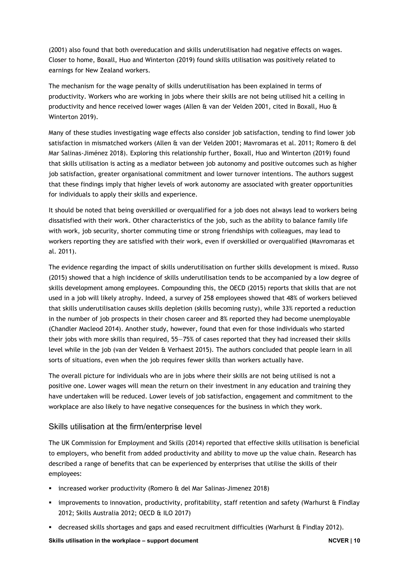(2001) also found that both overeducation and skills underutilisation had negative effects on wages. Closer to home, Boxall, Huo and Winterton (2019) found skills utilisation was positively related to earnings for New Zealand workers.

The mechanism for the wage penalty of skills underutilisation has been explained in terms of productivity. Workers who are working in jobs where their skills are not being utilised hit a ceiling in productivity and hence received lower wages (Allen & van der Velden 2001, cited in Boxall, Huo & Winterton 2019).

Many of these studies investigating wage effects also consider job satisfaction, tending to find lower job satisfaction in mismatched workers (Allen & van der Velden 2001; Mavromaras et al. 2011; Romero & del Mar Salinas-Jiménez 2018). Exploring this relationship further, Boxall, Huo and Winterton (2019) found that skills utilisation is acting as a mediator between job autonomy and positive outcomes such as higher job satisfaction, greater organisational commitment and lower turnover intentions. The authors suggest that these findings imply that higher levels of work autonomy are associated with greater opportunities for individuals to apply their skills and experience.

It should be noted that being overskilled or overqualified for a job does not always lead to workers being dissatisfied with their work. Other characteristics of the job, such as the ability to balance family life with work, job security, shorter commuting time or strong friendships with colleagues, may lead to workers reporting they are satisfied with their work, even if overskilled or overqualified (Mavromaras et al. 2011).

The evidence regarding the impact of skills underutilisation on further skills development is mixed. Russo (2015) showed that a high incidence of skills underutilisation tends to be accompanied by a low degree of skills development among employees. Compounding this, the OECD (2015) reports that skills that are not used in a job will likely atrophy. Indeed, a survey of 258 employees showed that 48% of workers believed that skills underutilisation causes skills depletion (skills becoming rusty), while 33% reported a reduction in the number of job prospects in their chosen career and 8% reported they had become unemployable (Chandler Macleod 2014). Another study, however, found that even for those individuals who started their jobs with more skills than required, 55—75% of cases reported that they had increased their skills level while in the job (van der Velden & Verhaest 2015). The authors concluded that people learn in all sorts of situations, even when the job requires fewer skills than workers actually have.

The overall picture for individuals who are in jobs where their skills are not being utilised is not a positive one. Lower wages will mean the return on their investment in any education and training they have undertaken will be reduced. Lower levels of job satisfaction, engagement and commitment to the workplace are also likely to have negative consequences for the business in which they work.

#### Skills utilisation at the firm/enterprise level

The UK Commission for Employment and Skills (2014) reported that effective skills utilisation is beneficial to employers, who benefit from added productivity and ability to move up the value chain. Research has described a range of benefits that can be experienced by enterprises that utilise the skills of their employees:

- increased worker productivity (Romero & del Mar Salinas-Jimenez 2018)
- improvements to innovation, productivity, profitability, staff retention and safety (Warhurst & Findlay 2012; Skills Australia 2012; OECD & ILO 2017)
- decreased skills shortages and gaps and eased recruitment difficulties (Warhurst & Findlay 2012).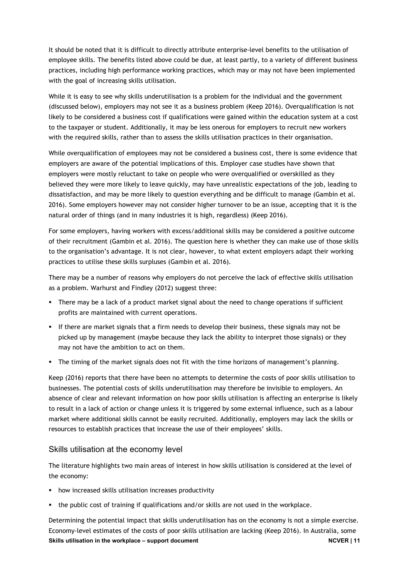It should be noted that it is difficult to directly attribute enterprise-level benefits to the utilisation of employee skills. The benefits listed above could be due, at least partly, to a variety of different business practices, including high performance working practices, which may or may not have been implemented with the goal of increasing skills utilisation.

While it is easy to see why skills underutilisation is a problem for the individual and the government (discussed below), employers may not see it as a business problem (Keep 2016). Overqualification is not likely to be considered a business cost if qualifications were gained within the education system at a cost to the taxpayer or student. Additionally, it may be less onerous for employers to recruit new workers with the required skills, rather than to assess the skills utilisation practices in their organisation.

While overqualification of employees may not be considered a business cost, there is some evidence that employers are aware of the potential implications of this. Employer case studies have shown that employers were mostly reluctant to take on people who were overqualified or overskilled as they believed they were more likely to leave quickly, may have unrealistic expectations of the job, leading to dissatisfaction, and may be more likely to question everything and be difficult to manage (Gambin et al. 2016). Some employers however may not consider higher turnover to be an issue, accepting that it is the natural order of things (and in many industries it is high, regardless) (Keep 2016).

For some employers, having workers with excess/additional skills may be considered a positive outcome of their recruitment (Gambin et al. 2016). The question here is whether they can make use of those skills to the organisation's advantage. It is not clear, however, to what extent employers adapt their working practices to utilise these skills surpluses (Gambin et al. 2016).

There may be a number of reasons why employers do not perceive the lack of effective skills utilisation as a problem. Warhurst and Findley (2012) suggest three:

- There may be a lack of a product market signal about the need to change operations if sufficient profits are maintained with current operations.
- If there are market signals that a firm needs to develop their business, these signals may not be picked up by management (maybe because they lack the ability to interpret those signals) or they may not have the ambition to act on them.
- The timing of the market signals does not fit with the time horizons of management's planning.

Keep (2016) reports that there have been no attempts to determine the costs of poor skills utilisation to businesses. The potential costs of skills underutilisation may therefore be invisible to employers. An absence of clear and relevant information on how poor skills utilisation is affecting an enterprise is likely to result in a lack of action or change unless it is triggered by some external influence, such as a labour market where additional skills cannot be easily recruited. Additionally, employers may lack the skills or resources to establish practices that increase the use of their employees' skills.

#### Skills utilisation at the economy level

The literature highlights two main areas of interest in how skills utilisation is considered at the level of the economy:

- **•** how increased skills utilisation increases productivity
- the public cost of training if qualifications and/or skills are not used in the workplace.

**Skills utilisation in the workplace – support document NCVER | 11** Determining the potential impact that skills underutilisation has on the economy is not a simple exercise. Economy-level estimates of the costs of poor skills utilisation are lacking (Keep 2016). In Australia, some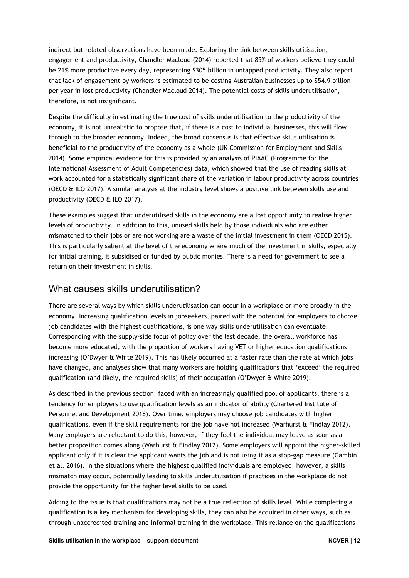indirect but related observations have been made. Exploring the link between skills utilisation, engagement and productivity, Chandler Macloud (2014) reported that 85% of workers believe they could be 21% more productive every day, representing \$305 billion in untapped productivity. They also report that lack of engagement by workers is estimated to be costing Australian businesses up to \$54.9 billion per year in lost productivity (Chandler Macloud 2014). The potential costs of skills underutilisation, therefore, is not insignificant.

Despite the difficulty in estimating the true cost of skills underutilisation to the productivity of the economy, it is not unrealistic to propose that, if there is a cost to individual businesses, this will flow through to the broader economy. Indeed, the broad consensus is that effective skills utilisation is beneficial to the productivity of the economy as a whole (UK Commission for Employment and Skills 2014). Some empirical evidence for this is provided by an analysis of PIAAC (Programme for the International Assessment of Adult Competencies) data, which showed that the use of reading skills at work accounted for a statistically significant share of the variation in labour productivity across countries (OECD & ILO 2017). A similar analysis at the industry level shows a positive link between skills use and productivity (OECD & ILO 2017).

These examples suggest that underutilised skills in the economy are a lost opportunity to realise higher levels of productivity. In addition to this, unused skills held by those individuals who are either mismatched to their jobs or are not working are a waste of the initial investment in them (OECD 2015). This is particularly salient at the level of the economy where much of the investment in skills, especially for initial training, is subsidised or funded by public monies. There is a need for government to see a return on their investment in skills.

## What causes skills underutilisation?

There are several ways by which skills underutilisation can occur in a workplace or more broadly in the economy. Increasing qualification levels in jobseekers, paired with the potential for employers to choose job candidates with the highest qualifications, is one way skills underutilisation can eventuate. Corresponding with the supply-side focus of policy over the last decade, the overall workforce has become more educated, with the proportion of workers having VET or higher education qualifications increasing (O'Dwyer & White 2019). This has likely occurred at a faster rate than the rate at which jobs have changed, and analyses show that many workers are holding qualifications that 'exceed' the required qualification (and likely, the required skills) of their occupation (O'Dwyer & White 2019).

As described in the previous section, faced with an increasingly qualified pool of applicants, there is a tendency for employers to use qualification levels as an indicator of ability (Chartered Institute of Personnel and Development 2018). Over time, employers may choose job candidates with higher qualifications, even if the skill requirements for the job have not increased (Warhurst & Findlay 2012). Many employers are reluctant to do this, however, if they feel the individual may leave as soon as a better proposition comes along (Warhurst & Findlay 2012). Some employers will appoint the higher-skilled applicant only if it is clear the applicant wants the job and is not using it as a stop-gap measure (Gambin et al. 2016). In the situations where the highest qualified individuals are employed, however, a skills mismatch may occur, potentially leading to skills underutilisation if practices in the workplace do not provide the opportunity for the higher level skills to be used.

Adding to the issue is that qualifications may not be a true reflection of skills level. While completing a qualification is a key mechanism for developing skills, they can also be acquired in other ways, such as through unaccredited training and informal training in the workplace. This reliance on the qualifications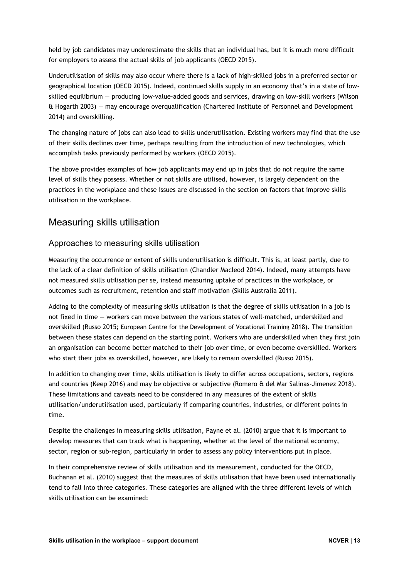held by job candidates may underestimate the skills that an individual has, but it is much more difficult for employers to assess the actual skills of job applicants (OECD 2015).

Underutilisation of skills may also occur where there is a lack of high-skilled jobs in a preferred sector or geographical location (OECD 2015). Indeed, continued skills supply in an economy that's in a state of lowskilled equilibrium — producing low-value-added goods and services, drawing on low-skill workers (Wilson & Hogarth 2003) — may encourage overqualification (Chartered Institute of Personnel and Development 2014) and overskilling.

The changing nature of jobs can also lead to skills underutilisation. Existing workers may find that the use of their skills declines over time, perhaps resulting from the introduction of new technologies, which accomplish tasks previously performed by workers (OECD 2015).

The above provides examples of how job applicants may end up in jobs that do not require the same level of skills they possess. Whether or not skills are utilised, however, is largely dependent on the practices in the workplace and these issues are discussed in the section on factors that improve skills utilisation in the workplace.

## Measuring skills utilisation

## Approaches to measuring skills utilisation

Measuring the occurrence or extent of skills underutilisation is difficult. This is, at least partly, due to the lack of a clear definition of skills utilisation (Chandler Macleod 2014). Indeed, many attempts have not measured skills utilisation per se, instead measuring uptake of practices in the workplace, or outcomes such as recruitment, retention and staff motivation (Skills Australia 2011).

Adding to the complexity of measuring skills utilisation is that the degree of skills utilisation in a job is not fixed in time — workers can move between the various states of well-matched, underskilled and overskilled (Russo 2015; European Centre for the Development of Vocational Training 2018). The transition between these states can depend on the starting point. Workers who are underskilled when they first join an organisation can become better matched to their job over time, or even become overskilled. Workers who start their jobs as overskilled, however, are likely to remain overskilled (Russo 2015).

In addition to changing over time, skills utilisation is likely to differ across occupations, sectors, regions and countries (Keep 2016) and may be objective or subjective (Romero & del Mar Salinas-Jimenez 2018). These limitations and caveats need to be considered in any measures of the extent of skills utilisation/underutilisation used, particularly if comparing countries, industries, or different points in time.

Despite the challenges in measuring skills utilisation, Payne et al. (2010) argue that it is important to develop measures that can track what is happening, whether at the level of the national economy, sector, region or sub-region, particularly in order to assess any policy interventions put in place.

In their comprehensive review of skills utilisation and its measurement, conducted for the OECD, Buchanan et al. (2010) suggest that the measures of skills utilisation that have been used internationally tend to fall into three categories. These categories are aligned with the three different levels of which skills utilisation can be examined: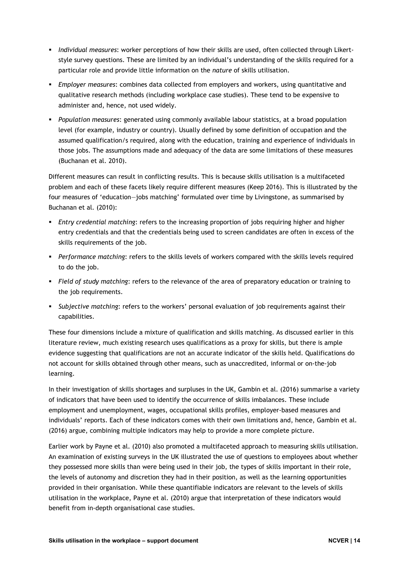- *Individual measures*: worker perceptions of how their skills are used, often collected through Likertstyle survey questions. These are limited by an individual's understanding of the skills required for a particular role and provide little information on the *nature* of skills utilisation.
- *Employer measures*: combines data collected from employers and workers, using quantitative and qualitative research methods (including workplace case studies). These tend to be expensive to administer and, hence, not used widely.
- *Population measures*: generated using commonly available labour statistics, at a broad population level (for example, industry or country). Usually defined by some definition of occupation and the assumed qualification/s required, along with the education, training and experience of individuals in those jobs. The assumptions made and adequacy of the data are some limitations of these measures (Buchanan et al. 2010).

Different measures can result in conflicting results. This is because skills utilisation is a multifaceted problem and each of these facets likely require different measures (Keep 2016). This is illustrated by the four measures of 'education—jobs matching' formulated over time by Livingstone, as summarised by Buchanan et al. (2010):

- *Entry credential matching*: refers to the increasing proportion of jobs requiring higher and higher entry credentials and that the credentials being used to screen candidates are often in excess of the skills requirements of the job.
- *Performance matching*: refers to the skills levels of workers compared with the skills levels required to do the job.
- *Field of study matching*: refers to the relevance of the area of preparatory education or training to the job requirements.
- *Subjective matching*: refers to the workers' personal evaluation of job requirements against their capabilities.

These four dimensions include a mixture of qualification and skills matching. As discussed earlier in this literature review, much existing research uses qualifications as a proxy for skills, but there is ample evidence suggesting that qualifications are not an accurate indicator of the skills held. Qualifications do not account for skills obtained through other means, such as unaccredited, informal or on-the-job learning.

In their investigation of skills shortages and surpluses in the UK, Gambin et al. (2016) summarise a variety of indicators that have been used to identify the occurrence of skills imbalances. These include employment and unemployment, wages, occupational skills profiles, employer-based measures and individuals' reports. Each of these indicators comes with their own limitations and, hence, Gambin et al. (2016) argue, combining multiple indicators may help to provide a more complete picture.

Earlier work by Payne et al. (2010) also promoted a multifaceted approach to measuring skills utilisation. An examination of existing surveys in the UK illustrated the use of questions to employees about whether they possessed more skills than were being used in their job, the types of skills important in their role, the levels of autonomy and discretion they had in their position, as well as the learning opportunities provided in their organisation. While these quantifiable indicators are relevant to the levels of skills utilisation in the workplace, Payne et al. (2010) argue that interpretation of these indicators would benefit from in-depth organisational case studies.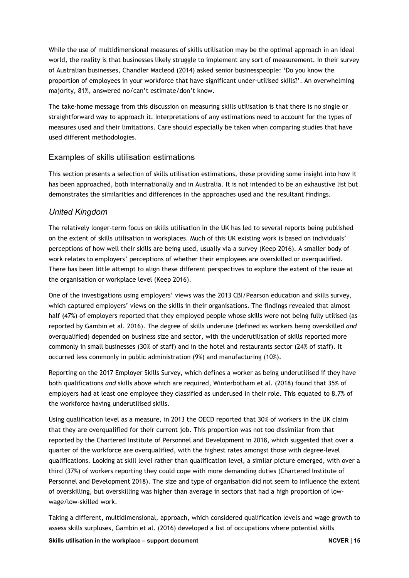While the use of multidimensional measures of skills utilisation may be the optimal approach in an ideal world, the reality is that businesses likely struggle to implement any sort of measurement. In their survey of Australian businesses, Chandler Macleod (2014) asked senior businesspeople: 'Do you know the proportion of employees in your workforce that have significant under-utilised skills?'. An overwhelming majority, 81%, answered no/can't estimate/don't know.

The take-home message from this discussion on measuring skills utilisation is that there is no single or straightforward way to approach it. Interpretations of any estimations need to account for the types of measures used and their limitations. Care should especially be taken when comparing studies that have used different methodologies.

### Examples of skills utilisation estimations

This section presents a selection of skills utilisation estimations, these providing some insight into how it has been approached, both internationally and in Australia. It is not intended to be an exhaustive list but demonstrates the similarities and differences in the approaches used and the resultant findings.

## *United Kingdom*

The relatively longer-term focus on skills utilisation in the UK has led to several reports being published on the extent of skills utilisation in workplaces. Much of this UK existing work is based on individuals' perceptions of how well their skills are being used, usually via a survey (Keep 2016). A smaller body of work relates to employers' perceptions of whether their employees are overskilled or overqualified. There has been little attempt to align these different perspectives to explore the extent of the issue at the organisation or workplace level (Keep 2016).

One of the investigations using employers' views was the 2013 CBI/Pearson education and skills survey, which captured employers' views on the skills in their organisations. The findings revealed that almost half (47%) of employers reported that they employed people whose skills were not being fully utilised (as reported by Gambin et al. 2016). The degree of skills underuse (defined as workers being overskilled *and* overqualified) depended on business size and sector, with the underutilisation of skills reported more commonly in small businesses (30% of staff) and in the hotel and restaurants sector (24% of staff). It occurred less commonly in public administration (9%) and manufacturing (10%).

Reporting on the 2017 Employer Skills Survey, which defines a worker as being underutilised if they have both qualifications *and* skills above which are required, Winterbotham et al. (2018) found that 35% of employers had at least one employee they classified as underused in their role. This equated to 8.7% of the workforce having underutilised skills.

Using qualification level as a measure, in 2013 the OECD reported that 30% of workers in the UK claim that they are overqualified for their current job. This proportion was not too dissimilar from that reported by the Chartered Institute of Personnel and Development in 2018, which suggested that over a quarter of the workforce are overqualified, with the highest rates amongst those with degree-level qualifications. Looking at skill level rather than qualification level, a similar picture emerged, with over a third (37%) of workers reporting they could cope with more demanding duties (Chartered Institute of Personnel and Development 2018). The size and type of organisation did not seem to influence the extent of overskilling, but overskilling was higher than average in sectors that had a high proportion of lowwage/low-skilled work.

Taking a different, multidimensional, approach, which considered qualification levels and wage growth to assess skills surpluses, Gambin et al. (2016) developed a list of occupations where potential skills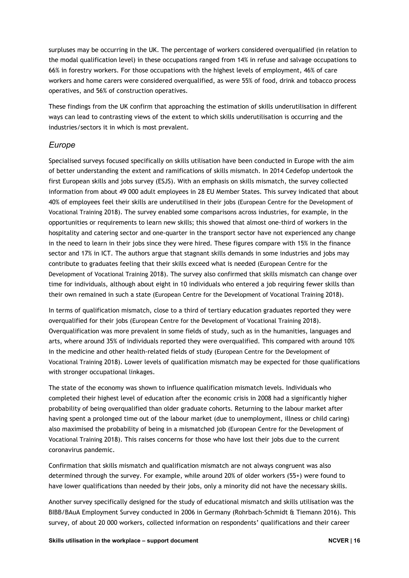surpluses may be occurring in the UK. The percentage of workers considered overqualified (in relation to the modal qualification level) in these occupations ranged from 14% in refuse and salvage occupations to 66% in forestry workers. For those occupations with the highest levels of employment, 46% of care workers and home carers were considered overqualified, as were 55% of food, drink and tobacco process operatives, and 56% of construction operatives.

These findings from the UK confirm that approaching the estimation of skills underutilisation in different ways can lead to contrasting views of the extent to which skills underutilisation is occurring and the industries/sectors it in which is most prevalent.

#### *Europe*

Specialised surveys focused specifically on skills utilisation have been conducted in Europe with the aim of better understanding the extent and ramifications of skills mismatch. In 2014 Cedefop undertook the first European skills and jobs survey (ESJS). With an emphasis on skills mismatch, the survey collected information from about 49 000 adult employees in 28 EU Member States. This survey indicated that about 40% of employees feel their skills are underutilised in their jobs (European Centre for the Development of Vocational Training 2018). The survey enabled some comparisons across industries, for example, in the opportunities or requirements to learn new skills; this showed that almost one-third of workers in the hospitality and catering sector and one-quarter in the transport sector have not experienced any change in the need to learn in their jobs since they were hired. These figures compare with 15% in the finance sector and 17% in ICT. The authors argue that stagnant skills demands in some industries and jobs may contribute to graduates feeling that their skills exceed what is needed (European Centre for the Development of Vocational Training 2018). The survey also confirmed that skills mismatch can change over time for individuals, although about eight in 10 individuals who entered a job requiring fewer skills than their own remained in such a state (European Centre for the Development of Vocational Training 2018).

In terms of qualification mismatch, close to a third of tertiary education graduates reported they were overqualified for their jobs (European Centre for the Development of Vocational Training 2018). Overqualification was more prevalent in some fields of study, such as in the humanities, languages and arts, where around 35% of individuals reported they were overqualified. This compared with around 10% in the medicine and other health-related fields of study (European Centre for the Development of Vocational Training 2018). Lower levels of qualification mismatch may be expected for those qualifications with stronger occupational linkages.

The state of the economy was shown to influence qualification mismatch levels. Individuals who completed their highest level of education after the economic crisis in 2008 had a significantly higher probability of being overqualified than older graduate cohorts. Returning to the labour market after having spent a prolonged time out of the labour market (due to unemployment, illness or child caring) also maximised the probability of being in a mismatched job (European Centre for the Development of Vocational Training 2018). This raises concerns for those who have lost their jobs due to the current coronavirus pandemic.

Confirmation that skills mismatch and qualification mismatch are not always congruent was also determined through the survey. For example, while around 20% of older workers (55+) were found to have lower qualifications than needed by their jobs, only a minority did not have the necessary skills.

Another survey specifically designed for the study of educational mismatch and skills utilisation was the BIBB/BAuA Employment Survey conducted in 2006 in Germany (Rohrbach-Schmidt & Tiemann 2016). This survey, of about 20 000 workers, collected information on respondents' qualifications and their career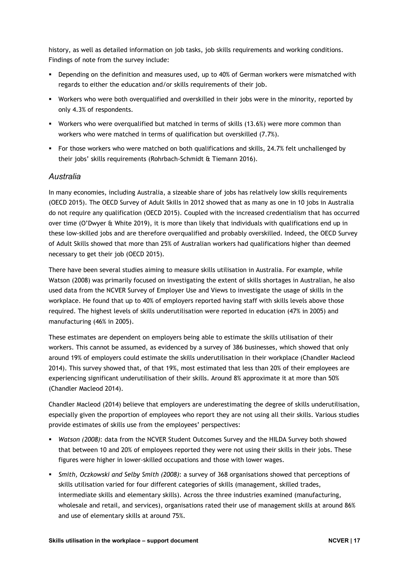history, as well as detailed information on job tasks, job skills requirements and working conditions. Findings of note from the survey include:

- **•** Depending on the definition and measures used, up to 40% of German workers were mismatched with regards to either the education and/or skills requirements of their job.
- Workers who were both overqualified and overskilled in their jobs were in the minority, reported by only 4.3% of respondents.
- Workers who were overqualified but matched in terms of skills (13.6%) were more common than workers who were matched in terms of qualification but overskilled (7.7%).
- For those workers who were matched on both qualifications and skills, 24.7% felt unchallenged by their jobs' skills requirements (Rohrbach-Schmidt & Tiemann 2016).

#### *Australia*

In many economies, including Australia, a sizeable share of jobs has relatively low skills requirements (OECD 2015). The OECD Survey of Adult Skills in 2012 showed that as many as one in 10 jobs in Australia do not require any qualification (OECD 2015). Coupled with the increased credentialism that has occurred over time (O'Dwyer & White 2019), it is more than likely that individuals with qualifications end up in these low-skilled jobs and are therefore overqualified and probably overskilled. Indeed, the OECD Survey of Adult Skills showed that more than 25% of Australian workers had qualifications higher than deemed necessary to get their job (OECD 2015).

There have been several studies aiming to measure skills utilisation in Australia. For example, while Watson (2008) was primarily focused on investigating the extent of skills shortages in Australian, he also used data from the NCVER Survey of Employer Use and Views to investigate the usage of skills in the workplace. He found that up to 40% of employers reported having staff with skills levels above those required. The highest levels of skills underutilisation were reported in education (47% in 2005) and manufacturing (46% in 2005).

These estimates are dependent on employers being able to estimate the skills utilisation of their workers. This cannot be assumed, as evidenced by a survey of 386 businesses, which showed that only around 19% of employers could estimate the skills underutilisation in their workplace (Chandler Macleod 2014). This survey showed that, of that 19%, most estimated that less than 20% of their employees are experiencing significant underutilisation of their skills. Around 8% approximate it at more than 50% (Chandler Macleod 2014).

Chandler Macleod (2014) believe that employers are underestimating the degree of skills underutilisation, especially given the proportion of employees who report they are not using all their skills. Various studies provide estimates of skills use from the employees' perspectives:

- *Watson (2008)*: data from the NCVER Student Outcomes Survey and the HILDA Survey both showed that between 10 and 20% of employees reported they were not using their skills in their jobs. These figures were higher in lower-skilled occupations and those with lower wages.
- *Smith, Oczkowski and Selby Smith (2008)*: a survey of 368 organisations showed that perceptions of skills utilisation varied for four different categories of skills (management, skilled trades, intermediate skills and elementary skills). Across the three industries examined (manufacturing, wholesale and retail, and services), organisations rated their use of management skills at around 86% and use of elementary skills at around 75%.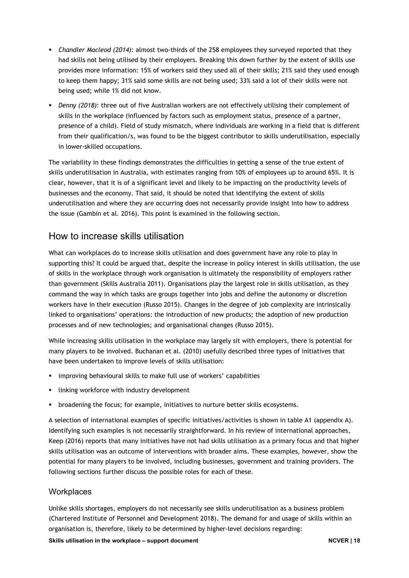- *Chandler Macleod (2014)*: almost two-thirds of the 258 employees they surveyed reported that they had skills not being utilised by their employers. Breaking this down further by the extent of skills use provides more information: 15% of workers said they used all of their skills; 21% said they used enough to keep them happy; 31% said some skills are not being used; 33% said a lot of their skills were not being used; while 1% did not know.
- *Denny (2018)*: three out of five Australian workers are not effectively utilising their complement of skills in the workplace (influenced by factors such as employment status, presence of a partner, presence of a child). Field of study mismatch, where individuals are working in a field that is different from their qualification/s, was found to be the biggest contributor to skills underutilisation, especially in lower-skilled occupations.

The variability in these findings demonstrates the difficulties in getting a sense of the true extent of skills underutilisation in Australia, with estimates ranging from 10% of employees up to around 65%. It is clear, however, that it is of a significant level and likely to be impacting on the productivity levels of businesses and the economy. That said, it should be noted that identifying the extent of skills underutilisation and where they are occurring does not necessarily provide insight into how to address the issue (Gambin et al. 2016). This point is examined in the following section.

## How to increase skills utilisation

What can workplaces do to increase skills utilisation and does government have any role to play in supporting this? It could be argued that, despite the increase in policy interest in skills utilisation, the use of skills in the workplace through work organisation is ultimately the responsibility of employers rather than government (Skills Australia 2011). Organisations play the largest role in skills utilisation, as they command the way in which tasks are groups together into jobs and define the autonomy or discretion workers have in their execution (Russo 2015). Changes in the degree of job complexity are intrinsically linked to organisations' operations: the introduction of new products; the adoption of new production processes and of new technologies; and organisational changes (Russo 2015).

While increasing skills utilisation in the workplace may largely sit with employers, there is potential for many players to be involved. Buchanan et al. (2010) usefully described three types of initiatives that have been undertaken to improve levels of skills utilisation:

- **·** improving behavioural skills to make full use of workers' capabilities
- **I** linking workforce with industry development
- broadening the focus; for example, initiatives to nurture better skills ecosystems.

A selection of international examples of specific initiatives/activities is shown in table A1 (appendix A). Identifying such examples is not necessarily straightforward. In his review of international approaches, Keep (2016) reports that many initiatives have not had skills utilisation as a primary focus and that higher skills utilisation was an outcome of interventions with broader aims. These examples, however, show the potential for many players to be involved, including businesses, government and training providers. The following sections further discuss the possible roles for each of these.

#### **Workplaces**

Unlike skills shortages, employers do not necessarily see skills underutilisation as a business problem (Chartered Institute of Personnel and Development 2018). The demand for and usage of skills within an organisation is, therefore, likely to be determined by higher-level decisions regarding:

**Skills utilisation in the workplace – support document NCVER | 18**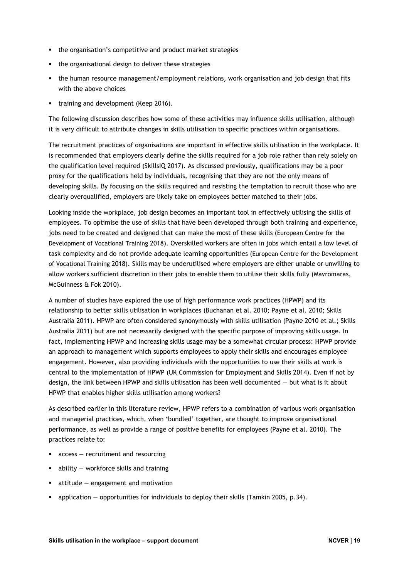- the organisation's competitive and product market strategies
- the organisational design to deliver these strategies
- the human resource management/employment relations, work organisation and job design that fits with the above choices
- **training and development (Keep 2016).**

The following discussion describes how some of these activities may influence skills utilisation, although it is very difficult to attribute changes in skills utilisation to specific practices within organisations.

The recruitment practices of organisations are important in effective skills utilisation in the workplace. It is recommended that employers clearly define the skills required for a job role rather than rely solely on the qualification level required (SkillsIQ 2017). As discussed previously, qualifications may be a poor proxy for the qualifications held by individuals, recognising that they are not the only means of developing skills. By focusing on the skills required and resisting the temptation to recruit those who are clearly overqualified, employers are likely take on employees better matched to their jobs.

Looking inside the workplace, job design becomes an important tool in effectively utilising the skills of employees. To optimise the use of skills that have been developed through both training and experience, jobs need to be created and designed that can make the most of these skills (European Centre for the Development of Vocational Training 2018). Overskilled workers are often in jobs which entail a low level of task complexity and do not provide adequate learning opportunities (European Centre for the Development of Vocational Training 2018). Skills may be underutilised where employers are either unable or unwilling to allow workers sufficient discretion in their jobs to enable them to utilise their skills fully (Mavromaras, McGuinness & Fok 2010).

A number of studies have explored the use of high performance work practices (HPWP) and its relationship to better skills utilisation in workplaces (Buchanan et al. 2010; Payne et al. 2010; Skills Australia 2011). HPWP are often considered synonymously with skills utilisation (Payne 2010 et al.; Skills Australia 2011) but are not necessarily designed with the specific purpose of improving skills usage. In fact, implementing HPWP and increasing skills usage may be a somewhat circular process: HPWP provide an approach to management which supports employees to apply their skills and encourages employee engagement. However, also providing individuals with the opportunities to use their skills at work is central to the implementation of HPWP (UK Commission for Employment and Skills 2014). Even if not by design, the link between HPWP and skills utilisation has been well documented — but what is it about HPWP that enables higher skills utilisation among workers?

As described earlier in this literature review, HPWP refers to a combination of various work organisation and managerial practices, which, when 'bundled' together, are thought to improve organisational performance, as well as provide a range of positive benefits for employees (Payne et al. 2010). The practices relate to:

- $\blacksquare$  access  $-$  recruitment and resourcing
- $\blacksquare$  ability workforce skills and training
- $\blacksquare$  attitude  $-$  engagement and motivation
- **•** application  $-$  opportunities for individuals to deploy their skills (Tamkin 2005, p.34).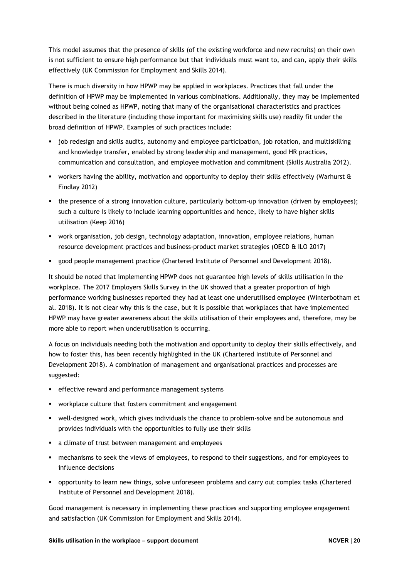This model assumes that the presence of skills (of the existing workforce and new recruits) on their own is not sufficient to ensure high performance but that individuals must want to, and can, apply their skills effectively (UK Commission for Employment and Skills 2014).

There is much diversity in how HPWP may be applied in workplaces. Practices that fall under the definition of HPWP may be implemented in various combinations. Additionally, they may be implemented without being coined as HPWP, noting that many of the organisational characteristics and practices described in the literature (including those important for maximising skills use) readily fit under the broad definition of HPWP. Examples of such practices include:

- job redesign and skills audits, autonomy and employee participation, job rotation, and multiskilling and knowledge transfer, enabled by strong leadership and management, good HR practices, communication and consultation, and employee motivation and commitment (Skills Australia 2012).
- workers having the ability, motivation and opportunity to deploy their skills effectively (Warhurst  $\alpha$ Findlay 2012)
- the presence of a strong innovation culture, particularly bottom-up innovation (driven by employees); such a culture is likely to include learning opportunities and hence, likely to have higher skills utilisation (Keep 2016)
- work organisation, job design, technology adaptation, innovation, employee relations, human resource development practices and business-product market strategies (OECD & ILO 2017)
- good people management practice (Chartered Institute of Personnel and Development 2018).

It should be noted that implementing HPWP does not guarantee high levels of skills utilisation in the workplace. The 2017 Employers Skills Survey in the UK showed that a greater proportion of high performance working businesses reported they had at least one underutilised employee (Winterbotham et al. 2018). It is not clear why this is the case, but it is possible that workplaces that have implemented HPWP may have greater awareness about the skills utilisation of their employees and, therefore, may be more able to report when underutilisation is occurring.

A focus on individuals needing both the motivation and opportunity to deploy their skills effectively, and how to foster this, has been recently highlighted in the UK (Chartered Institute of Personnel and Development 2018). A combination of management and organisational practices and processes are suggested:

- **EXECT:** effective reward and performance management systems
- workplace culture that fosters commitment and engagement
- well-designed work, which gives individuals the chance to problem-solve and be autonomous and provides individuals with the opportunities to fully use their skills
- a climate of trust between management and employees
- **•** mechanisms to seek the views of employees, to respond to their suggestions, and for employees to influence decisions
- opportunity to learn new things, solve unforeseen problems and carry out complex tasks (Chartered Institute of Personnel and Development 2018).

Good management is necessary in implementing these practices and supporting employee engagement and satisfaction (UK Commission for Employment and Skills 2014).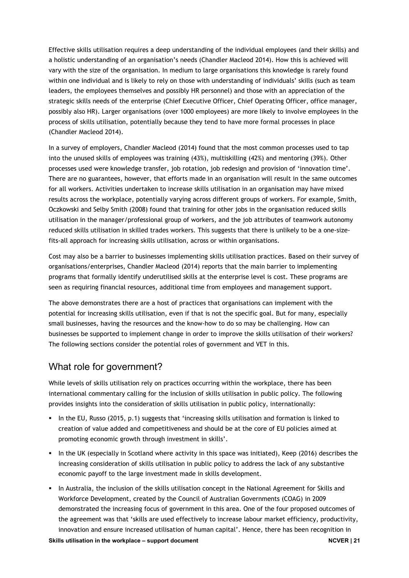Effective skills utilisation requires a deep understanding of the individual employees (and their skills) and a holistic understanding of an organisation's needs (Chandler Macleod 2014). How this is achieved will vary with the size of the organisation. In medium to large organisations this knowledge is rarely found within one individual and is likely to rely on those with understanding of individuals' skills (such as team leaders, the employees themselves and possibly HR personnel) and those with an appreciation of the strategic skills needs of the enterprise (Chief Executive Officer, Chief Operating Officer, office manager, possibly also HR). Larger organisations (over 1000 employees) are more likely to involve employees in the process of skills utilisation, potentially because they tend to have more formal processes in place (Chandler Macleod 2014).

In a survey of employers, Chandler Macleod (2014) found that the most common processes used to tap into the unused skills of employees was training (43%), multiskilling (42%) and mentoring (39%). Other processes used were knowledge transfer, job rotation, job redesign and provision of 'innovation time'. There are no guarantees, however, that efforts made in an organisation will result in the same outcomes for all workers. Activities undertaken to increase skills utilisation in an organisation may have mixed results across the workplace, potentially varying across different groups of workers. For example, Smith, Oczkowski and Selby Smith (2008) found that training for other jobs in the organisation reduced skills utilisation in the manager/professional group of workers, and the job attributes of teamwork autonomy reduced skills utilisation in skilled trades workers. This suggests that there is unlikely to be a one-sizefits-all approach for increasing skills utilisation, across or within organisations.

Cost may also be a barrier to businesses implementing skills utilisation practices. Based on their survey of organisations/enterprises, Chandler Macleod (2014) reports that the main barrier to implementing programs that formally identify underutilised skills at the enterprise level is cost. These programs are seen as requiring financial resources, additional time from employees and management support.

The above demonstrates there are a host of practices that organisations can implement with the potential for increasing skills utilisation, even if that is not the specific goal. But for many, especially small businesses, having the resources and the know-how to do so may be challenging. How can businesses be supported to implement change in order to improve the skills utilisation of their workers? The following sections consider the potential roles of government and VET in this.

## What role for government?

While levels of skills utilisation rely on practices occurring within the workplace, there has been international commentary calling for the inclusion of skills utilisation in public policy. The following provides insights into the consideration of skills utilisation in public policy, internationally:

- In the EU, Russo (2015, p.1) suggests that 'increasing skills utilisation and formation is linked to creation of value added and competitiveness and should be at the core of EU policies aimed at promoting economic growth through investment in skills'.
- In the UK (especially in Scotland where activity in this space was initiated), Keep (2016) describes the increasing consideration of skills utilisation in public policy to address the lack of any substantive economic payoff to the large investment made in skills development.
- In Australia, the inclusion of the skills utilisation concept in the National Agreement for Skills and Workforce Development, created by the Council of Australian Governments (COAG) in 2009 demonstrated the increasing focus of government in this area. One of the four proposed outcomes of the agreement was that 'skills are used effectively to increase labour market efficiency, productivity, innovation and ensure increased utilisation of human capital'. Hence, there has been recognition in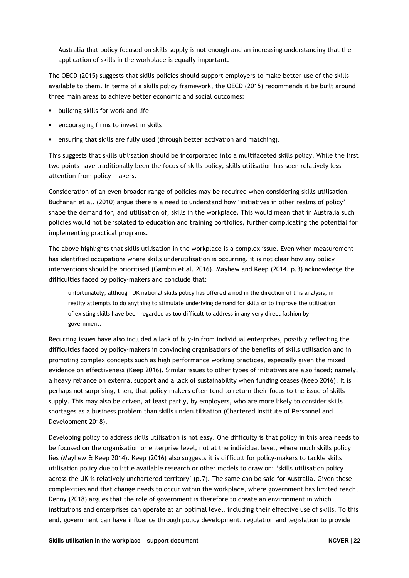Australia that policy focused on skills supply is not enough and an increasing understanding that the application of skills in the workplace is equally important.

The OECD (2015) suggests that skills policies should support employers to make better use of the skills available to them. In terms of a skills policy framework, the OECD (2015) recommends it be built around three main areas to achieve better economic and social outcomes:

- building skills for work and life
- **EXEDENT** encouraging firms to invest in skills
- ensuring that skills are fully used (through better activation and matching).

This suggests that skills utilisation should be incorporated into a multifaceted skills policy. While the first two points have traditionally been the focus of skills policy, skills utilisation has seen relatively less attention from policy-makers.

Consideration of an even broader range of policies may be required when considering skills utilisation. Buchanan et al. (2010) argue there is a need to understand how 'initiatives in other realms of policy' shape the demand for, and utilisation of, skills in the workplace. This would mean that in Australia such policies would not be isolated to education and training portfolios, further complicating the potential for implementing practical programs.

The above highlights that skills utilisation in the workplace is a complex issue. Even when measurement has identified occupations where skills underutilisation is occurring, it is not clear how any policy interventions should be prioritised (Gambin et al. 2016). Mayhew and Keep (2014, p.3) acknowledge the difficulties faced by policy-makers and conclude that:

unfortunately, although UK national skills policy has offered a nod in the direction of this analysis, in reality attempts to do anything to stimulate underlying demand for skills or to improve the utilisation of existing skills have been regarded as too difficult to address in any very direct fashion by government.

Recurring issues have also included a lack of buy-in from individual enterprises, possibly reflecting the difficulties faced by policy-makers in convincing organisations of the benefits of skills utilisation and in promoting complex concepts such as high performance working practices, especially given the mixed evidence on effectiveness (Keep 2016). Similar issues to other types of initiatives are also faced; namely, a heavy reliance on external support and a lack of sustainability when funding ceases (Keep 2016). It is perhaps not surprising, then, that policy-makers often tend to return their focus to the issue of skills supply. This may also be driven, at least partly, by employers, who are more likely to consider skills shortages as a business problem than skills underutilisation (Chartered Institute of Personnel and Development 2018).

Developing policy to address skills utilisation is not easy. One difficulty is that policy in this area needs to be focused on the organisation or enterprise level, not at the individual level, where much skills policy lies (Mayhew & Keep 2014). Keep (2016) also suggests it is difficult for policy-makers to tackle skills utilisation policy due to little available research or other models to draw on: 'skills utilisation policy across the UK is relatively unchartered territory' (p.7). The same can be said for Australia. Given these complexities and that change needs to occur within the workplace, where government has limited reach, Denny (2018) argues that the role of government is therefore to create an environment in which institutions and enterprises can operate at an optimal level, including their effective use of skills. To this end, government can have influence through policy development, regulation and legislation to provide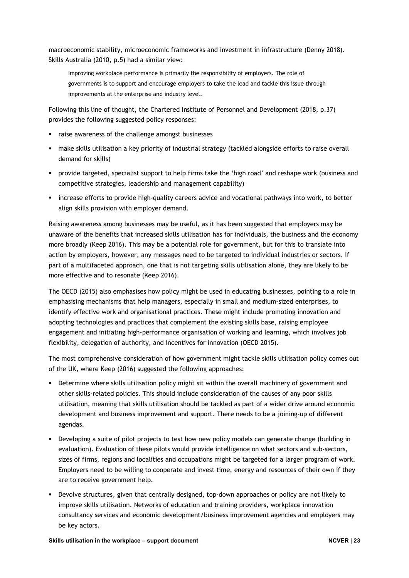macroeconomic stability, microeconomic frameworks and investment in infrastructure (Denny 2018). Skills Australia (2010, p.5) had a similar view:

Improving workplace performance is primarily the responsibility of employers. The role of governments is to support and encourage employers to take the lead and tackle this issue through improvements at the enterprise and industry level.

Following this line of thought, the Chartered Institute of Personnel and Development (2018, p.37) provides the following suggested policy responses:

- raise awareness of the challenge amongst businesses
- make skills utilisation a key priority of industrial strategy (tackled alongside efforts to raise overall demand for skills)
- **•** provide targeted, specialist support to help firms take the 'high road' and reshape work (business and competitive strategies, leadership and management capability)
- **·** increase efforts to provide high-quality careers advice and vocational pathways into work, to better align skills provision with employer demand.

Raising awareness among businesses may be useful, as it has been suggested that employers may be unaware of the benefits that increased skills utilisation has for individuals, the business and the economy more broadly (Keep 2016). This may be a potential role for government, but for this to translate into action by employers, however, any messages need to be targeted to individual industries or sectors. If part of a multifaceted approach, one that is not targeting skills utilisation alone, they are likely to be more effective and to resonate (Keep 2016).

The OECD (2015) also emphasises how policy might be used in educating businesses, pointing to a role in emphasising mechanisms that help managers, especially in small and medium-sized enterprises, to identify effective work and organisational practices. These might include promoting innovation and adopting technologies and practices that complement the existing skills base, raising employee engagement and initiating high-performance organisation of working and learning, which involves job flexibility, delegation of authority, and incentives for innovation (OECD 2015).

The most comprehensive consideration of how government might tackle skills utilisation policy comes out of the UK, where Keep (2016) suggested the following approaches:

- Determine where skills utilisation policy might sit within the overall machinery of government and other skills-related policies. This should include consideration of the causes of any poor skills utilisation, meaning that skills utilisation should be tackled as part of a wider drive around economic development and business improvement and support. There needs to be a joining-up of different agendas.
- Developing a suite of pilot projects to test how new policy models can generate change (building in evaluation). Evaluation of these pilots would provide intelligence on what sectors and sub-sectors, sizes of firms, regions and localities and occupations might be targeted for a larger program of work. Employers need to be willing to cooperate and invest time, energy and resources of their own if they are to receive government help.
- Devolve structures, given that centrally designed, top-down approaches or policy are not likely to improve skills utilisation. Networks of education and training providers, workplace innovation consultancy services and economic development/business improvement agencies and employers may be key actors.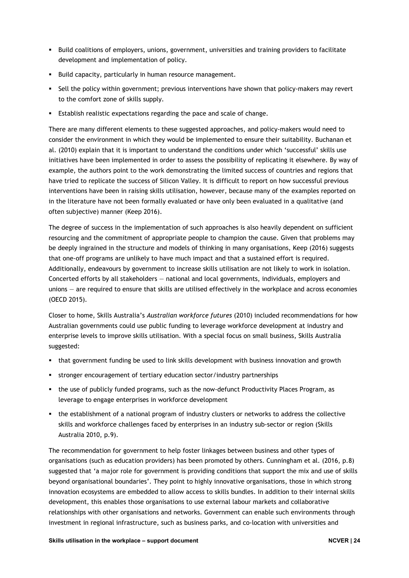- **Build coalitions of employers, unions, government, universities and training providers to facilitate** development and implementation of policy.
- Build capacity, particularly in human resource management.
- Sell the policy within government; previous interventions have shown that policy-makers may revert to the comfort zone of skills supply.
- Establish realistic expectations regarding the pace and scale of change.

There are many different elements to these suggested approaches, and policy-makers would need to consider the environment in which they would be implemented to ensure their suitability. Buchanan et al. (2010) explain that it is important to understand the conditions under which 'successful' skills use initiatives have been implemented in order to assess the possibility of replicating it elsewhere. By way of example, the authors point to the work demonstrating the limited success of countries and regions that have tried to replicate the success of Silicon Valley. It is difficult to report on how successful previous interventions have been in raising skills utilisation, however, because many of the examples reported on in the literature have not been formally evaluated or have only been evaluated in a qualitative (and often subjective) manner (Keep 2016).

The degree of success in the implementation of such approaches is also heavily dependent on sufficient resourcing and the commitment of appropriate people to champion the cause. Given that problems may be deeply ingrained in the structure and models of thinking in many organisations, Keep (2016) suggests that one-off programs are unlikely to have much impact and that a sustained effort is required. Additionally, endeavours by government to increase skills utilisation are not likely to work in isolation. Concerted efforts by all stakeholders — national and local governments, individuals, employers and unions — are required to ensure that skills are utilised effectively in the workplace and across economies (OECD 2015).

Closer to home, Skills Australia's *Australian workforce futures* (2010) included recommendations for how Australian governments could use public funding to leverage workforce development at industry and enterprise levels to improve skills utilisation. With a special focus on small business, Skills Australia suggested:

- that government funding be used to link skills development with business innovation and growth
- stronger encouragement of tertiary education sector/industry partnerships
- the use of publicly funded programs, such as the now-defunct Productivity Places Program, as leverage to engage enterprises in workforce development
- the establishment of a national program of industry clusters or networks to address the collective skills and workforce challenges faced by enterprises in an industry sub-sector or region (Skills Australia 2010, p.9).

The recommendation for government to help foster linkages between business and other types of organisations (such as education providers) has been promoted by others. Cunningham et al. (2016, p.8) suggested that 'a major role for government is providing conditions that support the mix and use of skills beyond organisational boundaries'. They point to highly innovative organisations, those in which strong innovation ecosystems are embedded to allow access to skills bundles. In addition to their internal skills development, this enables those organisations to use external labour markets and collaborative relationships with other organisations and networks. Government can enable such environments through investment in regional infrastructure, such as business parks, and co-location with universities and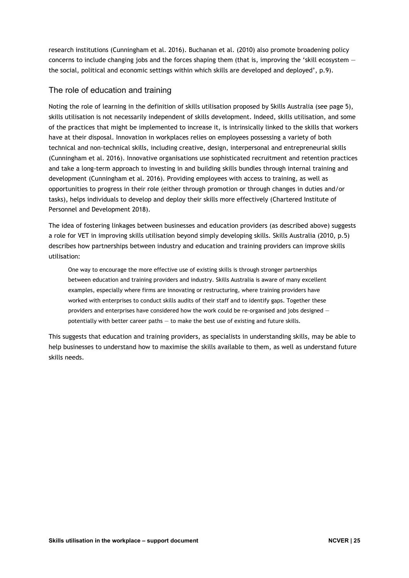research institutions (Cunningham et al. 2016). Buchanan et al. (2010) also promote broadening policy concerns to include changing jobs and the forces shaping them (that is, improving the 'skill ecosystem the social, political and economic settings within which skills are developed and deployed', p.9).

### The role of education and training

Noting the role of learning in the definition of skills utilisation proposed by Skills Australia (see page 5), skills utilisation is not necessarily independent of skills development. Indeed, skills utilisation, and some of the practices that might be implemented to increase it, is intrinsically linked to the skills that workers have at their disposal. Innovation in workplaces relies on employees possessing a variety of both technical and non-technical skills, including creative, design, interpersonal and entrepreneurial skills (Cunningham et al. 2016). Innovative organisations use sophisticated recruitment and retention practices and take a long-term approach to investing in and building skills bundles through internal training and development (Cunningham et al. 2016). Providing employees with access to training, as well as opportunities to progress in their role (either through promotion or through changes in duties and/or tasks), helps individuals to develop and deploy their skills more effectively (Chartered Institute of Personnel and Development 2018).

The idea of fostering linkages between businesses and education providers (as described above) suggests a role for VET in improving skills utilisation beyond simply developing skills. Skills Australia (2010, p.5) describes how partnerships between industry and education and training providers can improve skills utilisation:

One way to encourage the more effective use of existing skills is through stronger partnerships between education and training providers and industry. Skills Australia is aware of many excellent examples, especially where firms are innovating or restructuring, where training providers have worked with enterprises to conduct skills audits of their staff and to identify gaps. Together these providers and enterprises have considered how the work could be re-organised and jobs designed potentially with better career paths — to make the best use of existing and future skills.

This suggests that education and training providers, as specialists in understanding skills, may be able to help businesses to understand how to maximise the skills available to them, as well as understand future skills needs.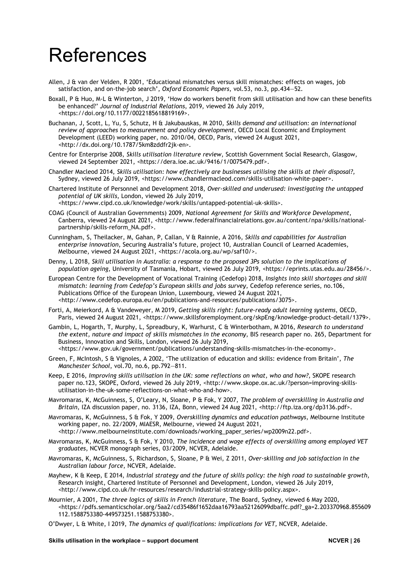## References

- Allen, J & van der Velden, R 2001, 'Educational mismatches versus skill mismatches: effects on wages, job satisfaction, and on-the-job search', *Oxford Economic Papers*, vol.53, no.3, pp.434—52.
- Boxall, P & Huo, M-L & Winterton, J 2019, 'How do workers benefit from skill utilisation and how can these benefits be enhanced?' *Journal of Industrial Relations*, 2019, viewed 26 July 2019, <https://doi.org/10.1177/0022185618819169>.
- Buchanan, J, Scott, L, Yu, S, Schutz, H & Jakubauskas, M 2010, *Skills demand and utilisation: an international review of approaches to measurement and policy development*, OECD Local Economic and Employment Development (LEED) working paper, no. 2010/04, OECD, Paris, viewed 24 August 2021, <http://dx.doi.org/10.1787/5km8zddfr2jk-en>.
- Centre for Enterprise 2008, *Skills utilisation literature review*, Scottish Government Social Research, Glasgow, viewed 24 September 2021, <https://dera.ioe.ac.uk/9416/1/0075479.pdf>.
- Chandler Macleod 2014, *Skills utilisation: how effectively are businesses utilising the skills at their disposal?,* Sydney, viewed 26 July 2019, <https://www.chandlermacleod.com/skills-utilisation-white-paper>.
- Chartered Institute of Personnel and Development 2018, *Over-skilled and underused: investigating the untapped potential of UK skills*, London, viewed 26 July 2019,
- <https://www.cipd.co.uk/knowledge/work/skills/untapped-potential-uk-skills>.
- COAG (Council of Australian Governments) 2009, *National Agreement for Skills and Workforce Development*, Canberra, viewed 24 August 2021, <http://www.federalfinancialrelations.gov.au/content/npa/skills/nationalpartnership/skills-reform\_NA.pdf>.
- Cunningham, S, Theilacker, M, Gahan, P, Callan, V & Rainnie, A 2016, *Skills and capabilities for Australian enterprise innovation*, Securing Australia's future, project 10, Australian Council of Learned Academies, Melbourne, viewed 24 August 2021, <https://acola.org.au/wp/saf10/>.
- Denny, L 2018, *Skill utilisation in Australia: a response to the proposed 3Ps solution to the implications of population ageing*, University of Tasmania, Hobart, viewed 26 July 2019, <https://eprints.utas.edu.au/28456/>.
- European Centre for the Development of Vocational Training (Cedefop) 2018, *Insights into skill shortages and skill mismatch: learning from Cedefop's European skills and jobs survey*, Cedefop reference series, no.106, Publications Office of the European Union, Luxembourg, viewed 24 August 2021, <http://www.cedefop.europa.eu/en/publications-and-resources/publications/3075>.
- Forti, A, Meierkord, A & Vandeweyer, M 2019, *Getting skills right: future-ready adult learning systems*, OECD, Paris, viewed 24 August 2021, <https://www.skillsforemployment.org/skpEng/knowledge-product-detail/1379>.
- Gambin, L, Hogarth, T, Murphy, L, Spreadbury, K, Warhurst, C & Winterbotham, M 2016, *Research to understand the extent, nature and impact of skills mismatches in the economy*, BIS research paper no. 265, Department for Business, Innovation and Skills, London, viewed 26 July 2019, <https://www.gov.uk/government/publications/understanding-skills-mismatches-in-the-economy>.
- Green, F, McIntosh, S & Vignoles, A 2002, 'The utilization of education and skills: evidence from Britain', *The Manchester School*, vol.70, no.6, pp.792—811.
- Keep, E 2016, *Improving skills utilisation in the UK: some reflections on what, who and how?*, SKOPE research paper no.123, SKOPE, Oxford, viewed 26 July 2019, <http://www.skope.ox.ac.uk/?person=improving-skillsutilisation-in-the-uk-some-reflections-on-what-who-and-how>.
- Mavromaras, K, McGuinness, S, O'Leary, N, Sloane, P & Fok, Y 2007, *The problem of overskilling in Australia and Britain*, IZA discussion paper, no. 3136, IZA, Bonn, viewed 24 Aug 2021, <http://ftp.iza.org/dp3136.pdf>.
- Mavromaras, K, McGuinness, S & Fok, Y 2009, *Overskilling dynamics and education pathways*, Melbourne Institute working paper, no. 22/2009, MIAESR, Melbourne, viewed 24 August 2021, <http://www.melbourneinstitute.com/downloads/working\_paper\_series/wp2009n22.pdf>.
- Mavromaras, K, McGuinness, S & Fok, Y 2010, *The incidence and wage effects of overskilling among employed VET graduates*, NCVER monograph series, 03/2009, NCVER, Adelaide.
- Mavromaras, K, McGuinness, S, Richardson, S, Sloane, P & Wei, Z 2011, *Over-skilling and job satisfaction in the Australian labour force*, NCVER, Adelaide.
- Mayhew, K & Keep, E 2014, *Industrial strategy and the future of skills policy: the high road to sustainable growth*, Research insight, Chartered Institute of Personnel and Development, London, viewed 26 July 2019, <http://www.cipd.co.uk/hr-resources/research/industrial-strategy-skills-policy.aspx>.
- Mournier, A 2001, *The three logics of skills in French literature*, The Board, Sydney, viewed 6 May 2020, [<https://pdfs.semanticscholar.org/5aa2/cd35486f1652daa16793aa52126099dbaffc.pdf?\\_ga=2.203370968.855609](https://pdfs.semanticscholar.org/5aa2/cd35486f1652daa16793aa52126099dbaffc.pdf?_ga=2.203370968.855609112.1588753380-449573251.1588753380) [112.1588753380-449573251.1588753380>](https://pdfs.semanticscholar.org/5aa2/cd35486f1652daa16793aa52126099dbaffc.pdf?_ga=2.203370968.855609112.1588753380-449573251.1588753380).
- O'Dwyer, L & White, I 2019, *The dynamics of qualifications: implications for VET,* NCVER, Adelaide.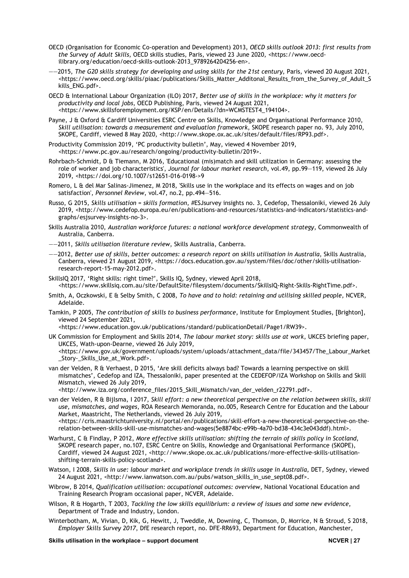- OECD (Organisation for Economic Co-operation and Development) 2013, *OECD skills outlook 2013: first results from the Survey of Adult Skills*, OECD skills studies, Paris, viewed 23 June 2020, <https://www.oecdilibrary.org/education/oecd-skills-outlook-2013\_9789264204256-en>.
- ——2015, *The G20 skills strategy for developing and using skills for the 21st century*, Paris, viewed 20 August 2021, <https://www.oecd.org/skills/piaac/publications/Skills\_Matter\_Additonal\_Results\_from\_the\_Survey\_of\_Adult\_S kills\_ENG.pdf>.
- OECD & International Labour Organization (ILO) 2017, *Better use of skills in the workplace: why it matters for productivity and local jobs*, OECD Publishing, Paris, viewed 24 August 2021, <https://www.skillsforemployment.org/KSP/en/Details/?dn=WCMSTEST4\_194104>.
- Payne, J & Oxford & Cardiff Universities ESRC Centre on Skills, Knowledge and Organisational Performance 2010, *Skill utilisation: towards a measurement and evaluation framework*, SKOPE research paper no. 93, July 2010, SKOPE, Cardiff, viewed 8 May 2020, <http://www.skope.ox.ac.uk/sites/default/files/RP93.pdf>.
- Productivity Commission 2019, 'PC productivity bulletin', May, viewed 4 November 2019, [<https://www.pc.gov.au/research/ongoing/productivity-bulletin/2019>](https://www.pc.gov.au/research/ongoing/productivity-bulletin/2019).
- Rohrbach-Schmidt, D & Tiemann, M 2016, 'Educational (mis)match and skill utilization in Germany: assessing the role of worker and job characteristics', *Journal for labour market research*, vol.49, pp.99—119, viewed 26 July 2019, <https://doi.org/10.1007/s12651-016-0198->9
- Romero, L & del Mar Salinas-Jimenez, M 2018, 'Skills use in the workplace and its effects on wages and on job satisfaction', *Personnel Review*, vol.47, no.2, pp.494—516.
- Russo, G 2015, *Skills utilisation = skills formation*, #ESJsurvey insights no. 3, Cedefop, Thessaloniki, viewed 26 July 2019, <http://www.cedefop.europa.eu/en/publications-and-resources/statistics-and-indicators/statistics-andgraphs/esjsurvey-insights-no-3>.
- Skills Australia 2010, *Australian workforce futures: a national workforce development strategy*, Commonwealth of Australia, Canberra.
- ——2011, *Skills utilisation literature review*, Skills Australia, Canberra.
- ——2012, *Better use of skills, better outcomes: a research report on skills utilisation in Australia*, Skills Australia, Canberra, viewed 21 August 2019, <https://docs.education.gov.au/system/files/doc/other/skills-utilisationresearch-report-15-may-2012.pdf>.
- SkillsIQ 2017, 'Right skills: right time?', Skills IQ, Sydney, viewed April 2018, <https://www.skillsiq.com.au/site/DefaultSite/filesystem/documents/SkillsIQ-Right-Skills-RightTime.pdf>.
- Smith, A, Oczkowski, E & Selby Smith, C 2008, *To have and to hold: retaining and utilising skilled people,* NCVER, Adelaide.
- Tamkin, P 2005, *The contribution of skills to business performance*, Institute for Employment Studies, [Brighton], viewed 24 September 2021,

<https://www.education.gov.uk/publications/standard/publicationDetail/Page1/RW39>.

UK Commission for Employment and Skills 2014, *The labour market story: skills use at work*, UKCES briefing paper, UKCES, Wath-upon-Dearne, viewed 26 July 2019,

<https://www.gov.uk/government/uploads/system/uploads/attachment\_data/file/343457/The\_Labour\_Market \_Story-\_Skills\_Use\_at\_Work.pdf>.

van der Velden, R & Verhaest, D 2015, 'Are skill deficits always bad? Towards a learning perspective on skill mismatches', Cedefop and IZA, Thessaloniki, paper presented at the CEDEFOP/IZA Workshop on Skills and Skill Mismatch, viewed 26 July 2019,

<http://www.iza.org/conference\_files/2015\_Skill\_Mismatch/van\_der\_velden\_r22791.pdf>.

- van der Velden, R & Bijlsma, I 2017, *Skill effort: a new theoretical perspective on the relation between skills, skill use, mismatches, and wages*, ROA Research Memoranda, no.005, Research Centre for Education and the Labour Market, Maastricht, The Netherlands, viewed 26 July 2019, <https://cris.maastrichtuniversity.nl/portal/en/publications/skill-effort-a-new-theoretical-perspective-on-therelation-between-skills-skill-use-mismatches-and-wages(5e8874bc-e99b-4a70-bd38-434c3e043ddf).html>.
- Warhurst, C & Findlay, P 2012, *More effective skills utilisation: shifting the terrain of skills policy in Scotland*, SKOPE research paper, no.107, ESRC Centre on Skills, Knowledge and Organisational Performance (SKOPE), Cardiff, viewed 24 August 2021, <http://www.skope.ox.ac.uk/publications/more-effective-skills-utilisationshifting-terrain-skills-policy-scotland>.
- Watson, I 2008, *Skills in use: labour market and workplace trends in skills usage in Australia*, DET, Sydney, viewed 24 August 2021, <http://www.ianwatson.com.au/pubs/watson\_skills\_in\_use\_sept08.pdf>.
- Wibrow, B 2014, *Qualification utilisation: occupational outcomes: overview*, National Vocational Education and Training Research Program occasional paper, NCVER, Adelaide.
- Wilson, R & Hogarth, T 2003, *Tackling the low skills equilibrium: a review of issues and some new evidence*, Department of Trade and Industry, London.
- Winterbotham, M, Vivian, D, Kik, G, Hewitt, J, Tweddle, M, Downing, C, Thomson, D, Morrice, N & Stroud, S 2018, *Employer Skills Survey 2017*, DfE research report, no. DFE-RR693, Department for Education, Manchester,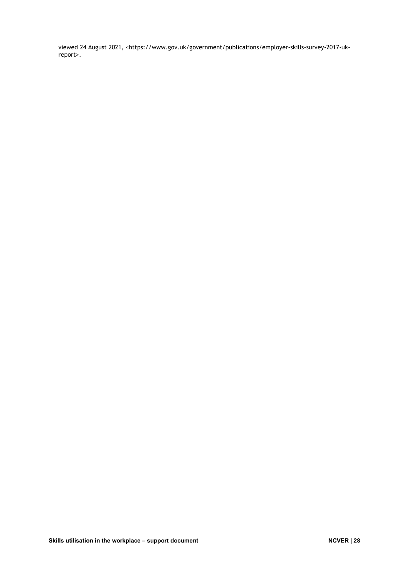viewed 24 August 2021, <https://www.gov.uk/government/publications/employer-skills-survey-2017-ukreport>.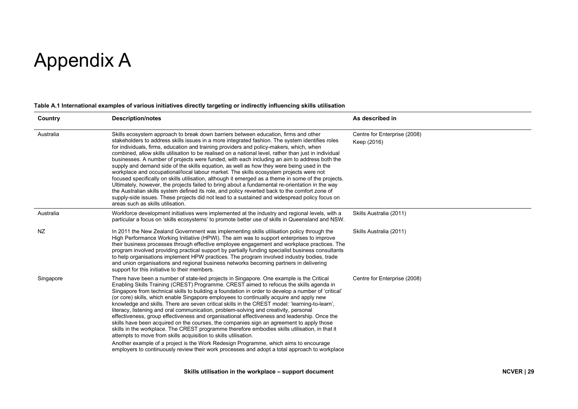# Appendix A

#### **Table A.1 International examples of various initiatives directly targeting or indirectly influencing skills utilisation**

| Country   | <b>Description/notes</b>                                                                                                                                                                                                                                                                                                                                                                                                                                                                                                                                                                                                                                                                                                                                                                                                                                                                                                                                                                                                                                                                                                                  | As described in                             |
|-----------|-------------------------------------------------------------------------------------------------------------------------------------------------------------------------------------------------------------------------------------------------------------------------------------------------------------------------------------------------------------------------------------------------------------------------------------------------------------------------------------------------------------------------------------------------------------------------------------------------------------------------------------------------------------------------------------------------------------------------------------------------------------------------------------------------------------------------------------------------------------------------------------------------------------------------------------------------------------------------------------------------------------------------------------------------------------------------------------------------------------------------------------------|---------------------------------------------|
| Australia | Skills ecosystem approach to break down barriers between education, firms and other<br>stakeholders to address skills issues in a more integrated fashion. The system identifies roles<br>for individuals, firms, education and training providers and policy-makers, which, when<br>combined, allow skills utilisation to be realised on a national level, rather than just in individual<br>businesses. A number of projects were funded, with each including an aim to address both the<br>supply and demand side of the skills equation, as well as how they were being used in the<br>workplace and occupational/local labour market. The skills ecosystem projects were not<br>focused specifically on skills utilisation, although it emerged as a theme in some of the projects.<br>Ultimately, however, the projects failed to bring about a fundamental re-orientation in the way<br>the Australian skills system defined its role, and policy reverted back to the comfort zone of<br>supply-side issues. These projects did not lead to a sustained and widespread policy focus on<br>areas such as skills utilisation.       | Centre for Enterprise (2008)<br>Keep (2016) |
| Australia | Workforce development initiatives were implemented at the industry and regional levels, with a<br>particular a focus on 'skills ecosystems' to promote better use of skills in Queensland and NSW.                                                                                                                                                                                                                                                                                                                                                                                                                                                                                                                                                                                                                                                                                                                                                                                                                                                                                                                                        | Skills Australia (2011)                     |
| <b>NZ</b> | In 2011 the New Zealand Government was implementing skills utilisation policy through the<br>High Performance Working Initiative (HPWI). The aim was to support enterprises to improve<br>their business processes through effective employee engagement and workplace practices. The<br>program involved providing practical support by partially funding specialist business consultants<br>to help organisations implement HPW practices. The program involved industry bodies, trade<br>and union organisations and regional business networks becoming partners in delivering<br>support for this initiative to their members.                                                                                                                                                                                                                                                                                                                                                                                                                                                                                                       | Skills Australia (2011)                     |
| Singapore | There have been a number of state-led projects in Singapore. One example is the Critical<br>Enabling Skills Training (CREST) Programme. CREST aimed to refocus the skills agenda in<br>Singapore from technical skills to building a foundation in order to develop a number of 'critical'<br>(or core) skills, which enable Singapore employees to continually acquire and apply new<br>knowledge and skills. There are seven critical skills in the CREST model: 'learning-to-learn',<br>literacy, listening and oral communication, problem-solving and creativity, personal<br>effectiveness, group effectiveness and organisational effectiveness and leadership. Once the<br>skills have been acquired on the courses, the companies sign an agreement to apply those<br>skills in the workplace. The CREST programme therefore embodies skills utilisation, in that it<br>attempts to move from skills acquisition to skills utilisation.<br>Another example of a project is the Work Redesign Programme, which aims to encourage<br>employers to continuously review their work processes and adopt a total approach to workplace | Centre for Enterprise (2008)                |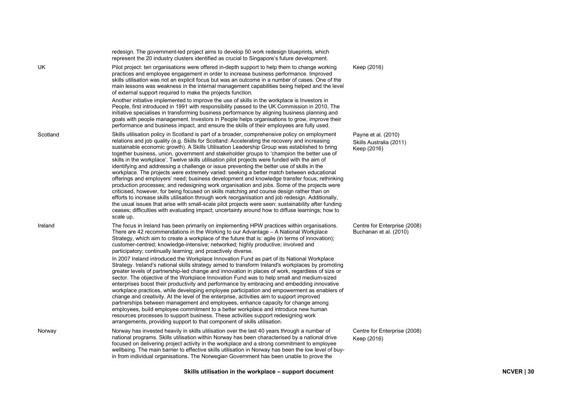|          | redesign. The government-led project aims to develop 50 work redesign blueprints, which<br>represent the 20 industry clusters identified as crucial to Singapore's future development.                                                                                                                                                                                                                                                                                                                                                                                                                                                                                                                                                                                                                                                                                                                                                                                                                                                                                                                                                                                                                                                                                                                                                                                                                                                                                                 |                                                               |
|----------|----------------------------------------------------------------------------------------------------------------------------------------------------------------------------------------------------------------------------------------------------------------------------------------------------------------------------------------------------------------------------------------------------------------------------------------------------------------------------------------------------------------------------------------------------------------------------------------------------------------------------------------------------------------------------------------------------------------------------------------------------------------------------------------------------------------------------------------------------------------------------------------------------------------------------------------------------------------------------------------------------------------------------------------------------------------------------------------------------------------------------------------------------------------------------------------------------------------------------------------------------------------------------------------------------------------------------------------------------------------------------------------------------------------------------------------------------------------------------------------|---------------------------------------------------------------|
| UK       | Pilot project: ten organisations were offered in-depth support to help them to change working<br>practices and employee engagement in order to increase business performance. Improved<br>skills utilisation was not an explicit focus but was an outcome in a number of cases. One of the<br>main lessons was weakness in the internal management capabilities being helped and the level<br>of external support required to make the projects function.                                                                                                                                                                                                                                                                                                                                                                                                                                                                                                                                                                                                                                                                                                                                                                                                                                                                                                                                                                                                                              | Keep (2016)                                                   |
|          | Another initiative implemented to improve the use of skills in the workplace is Investors in<br>People, first introduced in 1991 with responsibility passed to the UK Commission in 2010. The<br>initiative specialises in transforming business performance by aligning business planning and<br>goals with people management. Investors in People helps organisations to grow, improve their<br>performance and business impact, and ensure the skills of their employees are fully used.                                                                                                                                                                                                                                                                                                                                                                                                                                                                                                                                                                                                                                                                                                                                                                                                                                                                                                                                                                                            |                                                               |
| Scotland | Skills utilisation policy in Scotland is part of a broader, comprehensive policy on employment<br>relations and job quality (e.g. Skills for Scotland: Accelerating the recovery and increasing<br>sustainable economic growth). A Skills Utilisation Leadership Group was established to bring<br>together business, union, government and stakeholder groups to 'champion the better use of<br>skills in the workplace'. Twelve skills utilisation pilot projects were funded with the aim of<br>identifying and addressing a challenge or issue preventing the better use of skills in the<br>workplace. The projects were extremely varied: seeking a better match between educational<br>offerings and employers' need; business development and knowledge transfer focus; rethinking<br>production processes; and redesigning work organisation and jobs. Some of the projects were<br>criticised, however, for being focused on skills matching and course design rather than on<br>efforts to increase skills utilisation through work reorganisation and job redesign. Additionally,<br>the usual issues that arise with small-scale pilot projects were seen: sustainability after funding<br>ceases; difficulties with evaluating impact; uncertainty around how to diffuse learnings; how to<br>scale up.                                                                                                                                                                  | Payne et al. (2010)<br>Skills Australia (2011)<br>Keep (2016) |
| Ireland  | The focus in Ireland has been primarily on implementing HPW practices within organisations.<br>There are 42 recommendations in the Working to our Advantage - A National Workplace<br>Strategy, which aim to create a workplace of the future that is: agile (in terms of innovation);<br>customer-centred; knowledge-intensive; networked; highly productive; involved and<br>participatory; continually learning; and proactively diverse.<br>In 2007 Ireland introduced the Workplace Innovation Fund as part of its National Workplace<br>Strategy. Ireland's national skills strategy aimed to transform Ireland's workplaces by promoting<br>greater levels of partnership-led change and innovation in places of work, regardless of size or<br>sector. The objective of the Workplace Innovation Fund was to help small and medium-sized<br>enterprises boost their productivity and performance by embracing and embedding innovative<br>workplace practices, while developing employee participation and empowerment as enablers of<br>change and creativity. At the level of the enterprise, activities aim to support improved<br>partnerships between management and employees, enhance capacity for change among<br>employees, build employee commitment to a better workplace and introduce new human<br>resources processes to support business. These activities support redesigning work<br>arrangements, providing support to that component of skills utilisation. | Centre for Enterprise (2008)<br>Buchanan et al. (2010)        |
| Norway   | Norway has invested heavily in skills utilisation over the last 40 years through a number of<br>national programs. Skills utilisation within Norway has been characterised by a national drive<br>focused on delivering project activity in the workplace and a strong commitment to employee<br>wellbeing. The main barrier to effective skills utilisation in Norway has been the low level of buy-<br>in from individual organisations. The Norwegian Government has been unable to prove the                                                                                                                                                                                                                                                                                                                                                                                                                                                                                                                                                                                                                                                                                                                                                                                                                                                                                                                                                                                       | Centre for Enterprise (2008)<br>Keep (2016)                   |